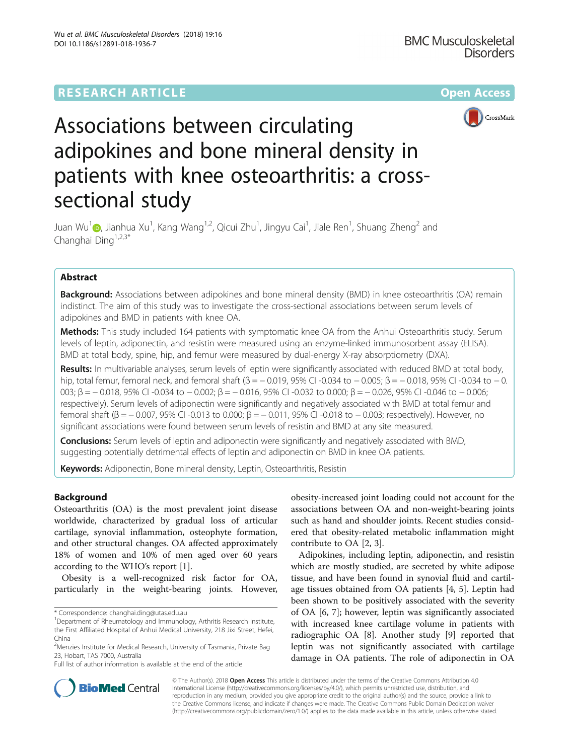## **RESEARCH ARTICLE Example 2014 12:30 The Contract of Contract ACCESS**



# Associations between circulating adipokines and bone mineral density in patients with knee osteoarthritis: a crosssectional study

Juan Wu<sup>1</sup>@[,](http://orcid.org/0000-0001-6973-4641) Jianhua Xu<sup>1</sup>, Kang Wang<sup>1,2</sup>, Qicui Zhu<sup>1</sup>, Jingyu Cai<sup>1</sup>, Jiale Ren<sup>1</sup>, Shuang Zheng<sup>2</sup> and Changhai Ding<sup>1,2,3\*</sup>

## Abstract

Background: Associations between adipokines and bone mineral density (BMD) in knee osteoarthritis (OA) remain indistinct. The aim of this study was to investigate the cross-sectional associations between serum levels of adipokines and BMD in patients with knee OA.

Methods: This study included 164 patients with symptomatic knee OA from the Anhui Osteoarthritis study. Serum levels of leptin, adiponectin, and resistin were measured using an enzyme-linked immunosorbent assay (ELISA). BMD at total body, spine, hip, and femur were measured by dual-energy X-ray absorptiometry (DXA).

Results: In multivariable analyses, serum levels of leptin were significantly associated with reduced BMD at total body, hip, total femur, femoral neck, and femoral shaft (β = − 0.019, 95% CI -0.034 to − 0.005; β = − 0.018, 95% CI -0.034 to − 0. 003;  $\beta = -0.018$ , 95% CI -0.034 to  $-0.002$ ;  $\beta = -0.016$ , 95% CI -0.032 to 0.000;  $\beta = -0.026$ , 95% CI -0.046 to  $-0.006$ ; respectively). Serum levels of adiponectin were significantly and negatively associated with BMD at total femur and femoral shaft (β = - 0.007, 95% CI -0.013 to 0.000; β = - 0.011, 95% CI -0.018 to - 0.003; respectively). However, no significant associations were found between serum levels of resistin and BMD at any site measured.

**Conclusions:** Serum levels of leptin and adiponectin were significantly and negatively associated with BMD, suggesting potentially detrimental effects of leptin and adiponectin on BMD in knee OA patients.

Keywords: Adiponectin, Bone mineral density, Leptin, Osteoarthritis, Resistin

## Background

Osteoarthritis (OA) is the most prevalent joint disease worldwide, characterized by gradual loss of articular cartilage, synovial inflammation, osteophyte formation, and other structural changes. OA affected approximately 18% of women and 10% of men aged over 60 years according to the WHO's report [\[1](#page-5-0)].

Obesity is a well-recognized risk factor for OA, particularly in the weight-bearing joints. However,

\* Correspondence: [changhai.ding@utas.edu.au](mailto:changhai.ding@utas.edu.au) <sup>1</sup>

Full list of author information is available at the end of the article

obesity-increased joint loading could not account for the associations between OA and non-weight-bearing joints such as hand and shoulder joints. Recent studies considered that obesity-related metabolic inflammation might contribute to OA [[2, 3\]](#page-5-0).

Adipokines, including leptin, adiponectin, and resistin which are mostly studied, are secreted by white adipose tissue, and have been found in synovial fluid and cartilage tissues obtained from OA patients [\[4](#page-5-0), [5](#page-5-0)]. Leptin had been shown to be positively associated with the severity of OA [\[6, 7](#page-5-0)]; however, leptin was significantly associated with increased knee cartilage volume in patients with radiographic OA [\[8](#page-5-0)]. Another study [\[9](#page-5-0)] reported that leptin was not significantly associated with cartilage damage in OA patients. The role of adiponectin in OA



© The Author(s). 2018 Open Access This article is distributed under the terms of the Creative Commons Attribution 4.0 International License [\(http://creativecommons.org/licenses/by/4.0/](http://creativecommons.org/licenses/by/4.0/)), which permits unrestricted use, distribution, and reproduction in any medium, provided you give appropriate credit to the original author(s) and the source, provide a link to the Creative Commons license, and indicate if changes were made. The Creative Commons Public Domain Dedication waiver [\(http://creativecommons.org/publicdomain/zero/1.0/](http://creativecommons.org/publicdomain/zero/1.0/)) applies to the data made available in this article, unless otherwise stated.

<sup>&</sup>lt;sup>1</sup>Department of Rheumatology and Immunology, Arthritis Research Institute, the First Affiliated Hospital of Anhui Medical University, 218 Jixi Street, Hefei, China

<sup>&</sup>lt;sup>2</sup>Menzies Institute for Medical Research, University of Tasmania, Private Bag 23, Hobart, TAS 7000, Australia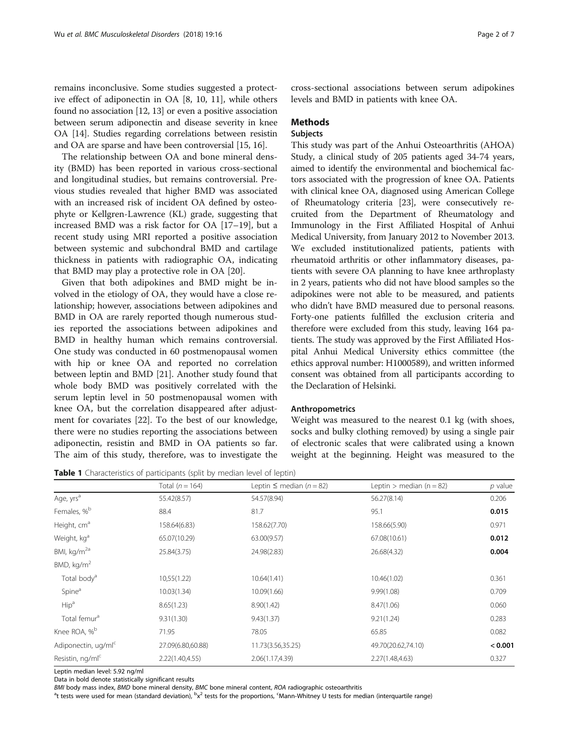<span id="page-1-0"></span>remains inconclusive. Some studies suggested a protective effect of adiponectin in OA [\[8](#page-5-0), [10, 11\]](#page-6-0), while others found no association [\[12, 13\]](#page-6-0) or even a positive association between serum adiponectin and disease severity in knee OA [[14](#page-6-0)]. Studies regarding correlations between resistin and OA are sparse and have been controversial [[15](#page-6-0), [16\]](#page-6-0).

The relationship between OA and bone mineral density (BMD) has been reported in various cross-sectional and longitudinal studies, but remains controversial. Previous studies revealed that higher BMD was associated with an increased risk of incident OA defined by osteophyte or Kellgren-Lawrence (KL) grade, suggesting that increased BMD was a risk factor for OA [\[17](#page-6-0)–[19\]](#page-6-0), but a recent study using MRI reported a positive association between systemic and subchondral BMD and cartilage thickness in patients with radiographic OA, indicating that BMD may play a protective role in OA [\[20](#page-6-0)].

Given that both adipokines and BMD might be involved in the etiology of OA, they would have a close relationship; however, associations between adipokines and BMD in OA are rarely reported though numerous studies reported the associations between adipokines and BMD in healthy human which remains controversial. One study was conducted in 60 postmenopausal women with hip or knee OA and reported no correlation between leptin and BMD [[21\]](#page-6-0). Another study found that whole body BMD was positively correlated with the serum leptin level in 50 postmenopausal women with knee OA, but the correlation disappeared after adjustment for covariates [\[22](#page-6-0)]. To the best of our knowledge, there were no studies reporting the associations between adiponectin, resistin and BMD in OA patients so far. The aim of this study, therefore, was to investigate the

Table 1 Characteristics of participants (split by median level of leptin)

cross-sectional associations between serum adipokines levels and BMD in patients with knee OA.

## Methods

## **Subjects**

This study was part of the Anhui Osteoarthritis (AHOA) Study, a clinical study of 205 patients aged 34-74 years, aimed to identify the environmental and biochemical factors associated with the progression of knee OA. Patients with clinical knee OA, diagnosed using American College of Rheumatology criteria [[23](#page-6-0)], were consecutively recruited from the Department of Rheumatology and Immunology in the First Affiliated Hospital of Anhui Medical University, from January 2012 to November 2013. We excluded institutionalized patients, patients with rheumatoid arthritis or other inflammatory diseases, patients with severe OA planning to have knee arthroplasty in 2 years, patients who did not have blood samples so the adipokines were not able to be measured, and patients who didn't have BMD measured due to personal reasons. Forty-one patients fulfilled the exclusion criteria and therefore were excluded from this study, leaving 164 patients. The study was approved by the First Affiliated Hospital Anhui Medical University ethics committee (the ethics approval number: H1000589), and written informed consent was obtained from all participants according to the Declaration of Helsinki.

## Anthropometrics

Weight was measured to the nearest 0.1 kg (with shoes, socks and bulky clothing removed) by using a single pair of electronic scales that were calibrated using a known weight at the beginning. Height was measured to the

|                                 | Total ( $n = 164$ ) | Leptin $\leq$ median ( <i>n</i> = 82) | Leptin $>$ median (n = 82) | $p$ value |  |
|---------------------------------|---------------------|---------------------------------------|----------------------------|-----------|--|
| Age, yrs <sup>a</sup>           | 55.42(8.57)         | 54.57(8.94)                           | 56.27(8.14)                | 0.206     |  |
| Females, % <sup>b</sup>         | 88.4                | 81.7                                  | 95.1                       | 0.015     |  |
| Height, cm <sup>a</sup>         | 158.64(6.83)        | 158.62(7.70)                          | 158.66(5.90)               | 0.971     |  |
| Weight, kg <sup>a</sup>         | 65.07(10.29)        | 63.00(9.57)                           | 67.08(10.61)               | 0.012     |  |
| BMI, kg/m <sup>2a</sup>         | 25.84(3.75)         | 24.98(2.83)                           | 26.68(4.32)                | 0.004     |  |
| BMD, kg/m <sup>2</sup>          |                     |                                       |                            |           |  |
| Total body <sup>a</sup>         | 10,55(1.22)         | 10.64(1.41)                           | 10.46(1.02)                | 0.361     |  |
| Spine <sup>a</sup>              | 10.03(1.34)         | 10.09(1.66)                           | 9.99(1.08)                 | 0.709     |  |
| $\mathsf{Hip}^a$                | 8.65(1.23)          | 8.90(1.42)                            | 8.47(1.06)                 | 0.060     |  |
| Total femur <sup>a</sup>        | 9.31(1.30)          | 9.43(1.37)                            | 9.21(1.24)                 | 0.283     |  |
| Knee ROA, % <sup>b</sup>        | 71.95               | 78.05                                 | 65.85                      | 0.082     |  |
| Adiponectin, ug/ml <sup>c</sup> | 27.09(6.80,60.88)   | 11.73(3.56,35.25)                     | 49.70(20.62,74.10)         | < 0.001   |  |
| Resistin, ng/ml <sup>c</sup>    | 2.22(1.40,4.55)     | 2.06(1.17,4.39)                       | 2.27(1.48, 4.63)           | 0.327     |  |

Leptin median level: 5.92 ng/ml

Data in bold denote statistically significant results

BMI body mass index, BMD bone mineral density, BMC bone mineral content, ROA radiographic osteoarthritis

t tests were used for mean (standard deviation), <sup>b</sup>x<sup>2</sup> tests for the proportions, <sup>c</sup>Mann-Whitney U tests for median (interquartile range)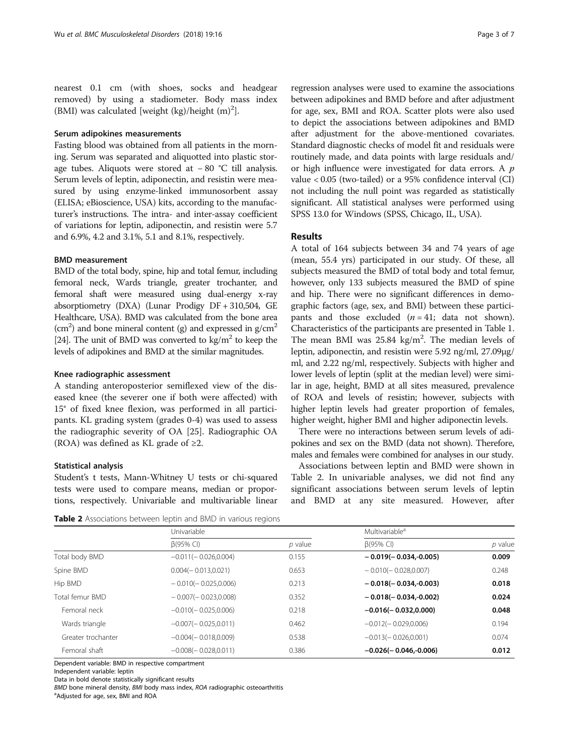<span id="page-2-0"></span>nearest 0.1 cm (with shoes, socks and headgear removed) by using a stadiometer. Body mass index (BMI) was calculated [weight (kg)/height  $(m)^2$ ].

## Serum adipokines measurements

Fasting blood was obtained from all patients in the morning. Serum was separated and aliquotted into plastic storage tubes. Aliquots were stored at − 80 °C till analysis. Serum levels of leptin, adiponectin, and resistin were measured by using enzyme-linked immunosorbent assay (ELISA; eBioscience, USA) kits, according to the manufacturer's instructions. The intra- and inter-assay coefficient of variations for leptin, adiponectin, and resistin were 5.7 and 6.9%, 4.2 and 3.1%, 5.1 and 8.1%, respectively.

## BMD measurement

BMD of the total body, spine, hip and total femur, including femoral neck, Wards triangle, greater trochanter, and femoral shaft were measured using dual-energy x-ray absorptiometry (DXA) (Lunar Prodigy DF + 310,504, GE Healthcare, USA). BMD was calculated from the bone area  $\rm (cm^2)$  and bone mineral content (g) and expressed in g/cm<sup>2</sup> [[24\]](#page-6-0). The unit of BMD was converted to  $\text{kg/m}^2$  to keep the levels of adipokines and BMD at the similar magnitudes.

#### Knee radiographic assessment

A standing anteroposterior semiflexed view of the diseased knee (the severer one if both were affected) with 15° of fixed knee flexion, was performed in all participants. KL grading system (grades 0-4) was used to assess the radiographic severity of OA [[25](#page-6-0)]. Radiographic OA (ROA) was defined as KL grade of  $\geq$ 2.

## Statistical analysis

Student's t tests, Mann-Whitney U tests or chi-squared tests were used to compare means, median or proportions, respectively. Univariable and multivariable linear

regression analyses were used to examine the associations between adipokines and BMD before and after adjustment for age, sex, BMI and ROA. Scatter plots were also used to depict the associations between adipokines and BMD after adjustment for the above-mentioned covariates. Standard diagnostic checks of model fit and residuals were routinely made, and data points with large residuals and/ or high influence were investigated for data errors. A  $p$ value < 0.05 (two-tailed) or a 95% confidence interval (CI) not including the null point was regarded as statistically significant. All statistical analyses were performed using SPSS 13.0 for Windows (SPSS, Chicago, IL, USA).

## Results

A total of 164 subjects between 34 and 74 years of age (mean, 55.4 yrs) participated in our study. Of these, all subjects measured the BMD of total body and total femur, however, only 133 subjects measured the BMD of spine and hip. There were no significant differences in demographic factors (age, sex, and BMI) between these participants and those excluded  $(n = 41;$  data not shown). Characteristics of the participants are presented in Table [1](#page-1-0). The mean BMI was  $25.84 \text{ kg/m}^2$ . The median levels of leptin, adiponectin, and resistin were 5.92 ng/ml, 27.09μg/ ml, and 2.22 ng/ml, respectively. Subjects with higher and lower levels of leptin (split at the median level) were similar in age, height, BMD at all sites measured, prevalence of ROA and levels of resistin; however, subjects with higher leptin levels had greater proportion of females, higher weight, higher BMI and higher adiponectin levels.

There were no interactions between serum levels of adipokines and sex on the BMD (data not shown). Therefore, males and females were combined for analyses in our study.

Associations between leptin and BMD were shown in Table 2. In univariable analyses, we did not find any significant associations between serum levels of leptin and BMD at any site measured. However, after

Table 2 Associations between leptin and BMD in various regions

|                    | Univariable             |           | Multivariable <sup>a</sup> |         |  |
|--------------------|-------------------------|-----------|----------------------------|---------|--|
|                    | $\beta$ (95% CI)        | $p$ value | $\beta$ (95% CI)           | p value |  |
| Total body BMD     | $-0.011(-0.026, 0.004)$ | 0.155     | $-0.019(-0.034,-0.005)$    | 0.009   |  |
| Spine BMD          | $0.004(-0.013.0.021)$   | 0.653     | $-0.010(-0.028.0.007)$     | 0.248   |  |
| Hip BMD            | $-0.010(-0.025,0.006)$  | 0.213     | $-0.018(-0.034,-0.003)$    | 0.018   |  |
| Total femur BMD    | $-0.007(-0.023,0.008)$  | 0.352     | $-0.018(-0.034,-0.002)$    | 0.024   |  |
| Femoral neck       | $-0.010(-0.025,0.006)$  | 0.218     | $-0.016(-0.032,0.000)$     | 0.048   |  |
| Wards triangle     | $-0.007(-0.025,0.011)$  | 0.462     | $-0.012(-0.029.0.006)$     | 0.194   |  |
| Greater trochanter | $-0.004(-0.018.0.009)$  | 0.538     | $-0.013(-0.026.0.001)$     | 0.074   |  |
| Femoral shaft      | $-0.008(-0.028,0.011)$  | 0.386     | $-0.026(-0.046,-0.006)$    | 0.012   |  |

Dependent variable: BMD in respective compartment

Independent variable: leptin

Data in bold denote statistically significant results

BMD bone mineral density, BMI body mass index, ROA radiographic osteoarthritis

Adjusted for age, sex, BMI and ROA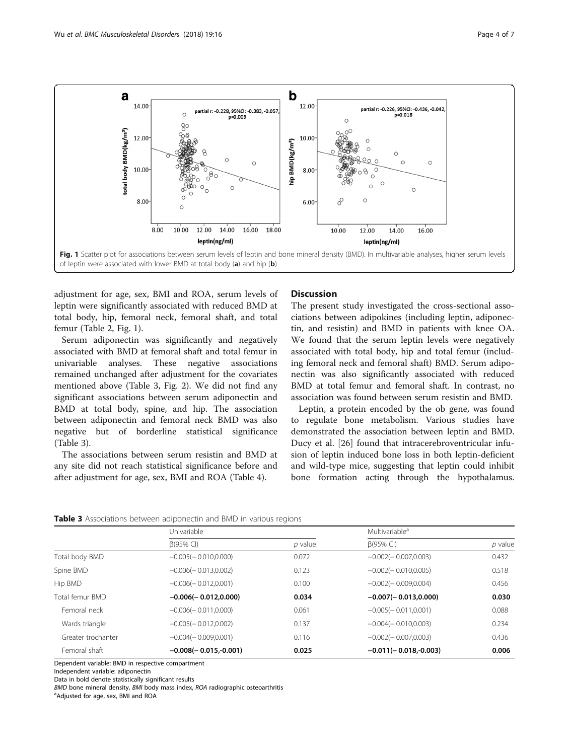

adjustment for age, sex, BMI and ROA, serum levels of leptin were significantly associated with reduced BMD at total body, hip, femoral neck, femoral shaft, and total femur (Table [2](#page-2-0), Fig. 1).

Serum adiponectin was significantly and negatively associated with BMD at femoral shaft and total femur in univariable analyses. These negative associations remained unchanged after adjustment for the covariates mentioned above (Table 3, Fig. [2\)](#page-4-0). We did not find any significant associations between serum adiponectin and BMD at total body, spine, and hip. The association between adiponectin and femoral neck BMD was also negative but of borderline statistical significance (Table 3).

The associations between serum resistin and BMD at any site did not reach statistical significance before and after adjustment for age, sex, BMI and ROA (Table [4\)](#page-4-0).

#### **Discussion**

The present study investigated the cross-sectional associations between adipokines (including leptin, adiponectin, and resistin) and BMD in patients with knee OA. We found that the serum leptin levels were negatively associated with total body, hip and total femur (including femoral neck and femoral shaft) BMD. Serum adiponectin was also significantly associated with reduced BMD at total femur and femoral shaft. In contrast, no association was found between serum resistin and BMD.

Leptin, a protein encoded by the ob gene, was found to regulate bone metabolism. Various studies have demonstrated the association between leptin and BMD. Ducy et al. [[26\]](#page-6-0) found that intracerebroventricular infusion of leptin induced bone loss in both leptin-deficient and wild-type mice, suggesting that leptin could inhibit bone formation acting through the hypothalamus.

Table 3 Associations between adiponectin and BMD in various regions

|                    | Univariable             |           | Multivariable <sup>a</sup> |         |  |
|--------------------|-------------------------|-----------|----------------------------|---------|--|
|                    | $\beta$ (95% CI)        | $p$ value | $\beta$ (95% CI)           | p value |  |
| Total body BMD     | $-0.005(-0.010, 0.000)$ | 0.072     | $-0.002(-0.007,0.003)$     | 0.432   |  |
| Spine BMD          | $-0.006(-0.013,0.002)$  | 0.123     | $-0.002(-0.010.0.005)$     | 0.518   |  |
| Hip BMD            | $-0.006(-0.012,0.001)$  | 0.100     | $-0.002(-0.009.0.004)$     | 0.456   |  |
| Total femur BMD    | $-0.006(-0.012,0.000)$  | 0.034     | $-0.007(-0.013, 0.000)$    | 0.030   |  |
| Femoral neck       | $-0.006(-0.011, 0.000)$ | 0.061     | $-0.005(-0.011, 0.001)$    | 0.088   |  |
| Wards triangle     | $-0.005(-0.012,0.002)$  | 0.137     | $-0.004(-0.010.0003)$      | 0.234   |  |
| Greater trochanter | $-0.004(-0.009.0.001)$  | 0.116     | $-0.002(-0.007.0.003)$     | 0.436   |  |
| Femoral shaft      | $-0.008(-0.015,-0.001)$ | 0.025     | $-0.011(-0.018,-0.003)$    | 0.006   |  |

Dependent variable: BMD in respective compartment

Independent variable: adiponectin

Data in bold denote statistically significant results

BMD bone mineral density, BMI body mass index, ROA radiographic osteoarthritis

Adjusted for age, sex, BMI and ROA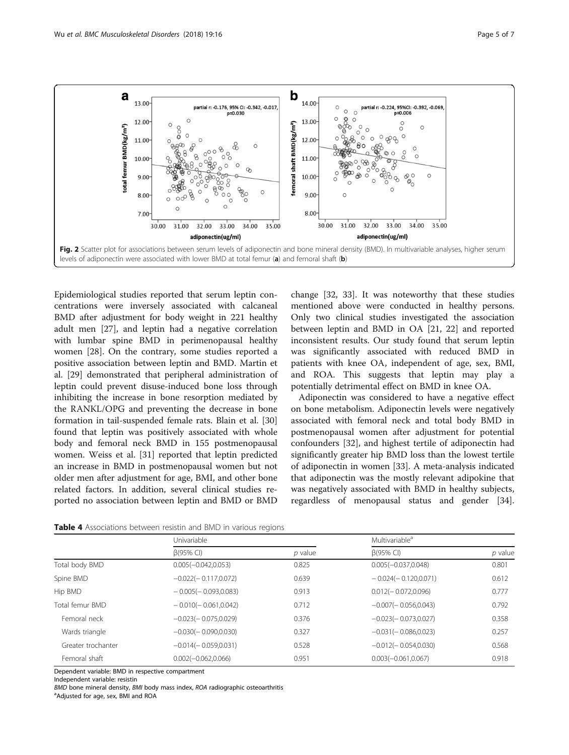<span id="page-4-0"></span>

Epidemiological studies reported that serum leptin concentrations were inversely associated with calcaneal BMD after adjustment for body weight in 221 healthy adult men [[27\]](#page-6-0), and leptin had a negative correlation with lumbar spine BMD in perimenopausal healthy women [\[28\]](#page-6-0). On the contrary, some studies reported a positive association between leptin and BMD. Martin et al. [[29](#page-6-0)] demonstrated that peripheral administration of leptin could prevent disuse-induced bone loss through inhibiting the increase in bone resorption mediated by the RANKL/OPG and preventing the decrease in bone formation in tail-suspended female rats. Blain et al. [[30](#page-6-0)] found that leptin was positively associated with whole body and femoral neck BMD in 155 postmenopausal women. Weiss et al. [\[31\]](#page-6-0) reported that leptin predicted an increase in BMD in postmenopausal women but not older men after adjustment for age, BMI, and other bone related factors. In addition, several clinical studies reported no association between leptin and BMD or BMD

change [[32](#page-6-0), [33\]](#page-6-0). It was noteworthy that these studies mentioned above were conducted in healthy persons. Only two clinical studies investigated the association between leptin and BMD in OA [[21, 22\]](#page-6-0) and reported inconsistent results. Our study found that serum leptin was significantly associated with reduced BMD in patients with knee OA, independent of age, sex, BMI, and ROA. This suggests that leptin may play a potentially detrimental effect on BMD in knee OA.

Adiponectin was considered to have a negative effect on bone metabolism. Adiponectin levels were negatively associated with femoral neck and total body BMD in postmenopausal women after adjustment for potential confounders [\[32](#page-6-0)], and highest tertile of adiponectin had significantly greater hip BMD loss than the lowest tertile of adiponectin in women [[33](#page-6-0)]. A meta-analysis indicated that adiponectin was the mostly relevant adipokine that was negatively associated with BMD in healthy subjects, regardless of menopausal status and gender [\[34](#page-6-0)].

| Table 4 Associations between resistin and BMD in various regions |  |  |  |  |  |  |
|------------------------------------------------------------------|--|--|--|--|--|--|
|------------------------------------------------------------------|--|--|--|--|--|--|

|                    | Univariable             |           | Multivariable <sup>a</sup> |         |  |
|--------------------|-------------------------|-----------|----------------------------|---------|--|
|                    | $\beta$ (95% CI)        | $p$ value | $\beta$ (95% CI)           | p value |  |
| Total body BMD     | $0.005(-0.042,0.053)$   | 0.825     | $0.005(-0.037,0.048)$      | 0.801   |  |
| Spine BMD          | $-0.022(-0.117,0.072)$  | 0.639     | $-0.024(-0.120,0.071)$     | 0.612   |  |
| Hip BMD            | $-0.005(-0.093,0.083)$  | 0.913     | $0.012(-0.072,0.096)$      | 0.777   |  |
| Total femur BMD    | $-0.010(-0.061.0.042)$  | 0.712     | $-0.007(-0.056,0.043)$     | 0.792   |  |
| Femoral neck       | $-0.023(-0.075, 0.029)$ | 0.376     | $-0.023(-0.073,0.027)$     | 0.358   |  |
| Wards triangle     | $-0.030(-0.090, 0.030)$ | 0.327     | $-0.031(-0.086, 0.023)$    | 0.257   |  |
| Greater trochanter | $-0.014(-0.059,0.031)$  | 0.528     | $-0.012(-0.054,0.030)$     | 0.568   |  |
| Femoral shaft      | $0.002(-0.062.0.066)$   | 0.951     | $0.003(-0.061, 0.067)$     | 0.918   |  |

Dependent variable: BMD in respective compartment

Independent variable: resistin

BMD bone mineral density, BMI body mass index, ROA radiographic osteoarthritis

Adjusted for age, sex, BMI and ROA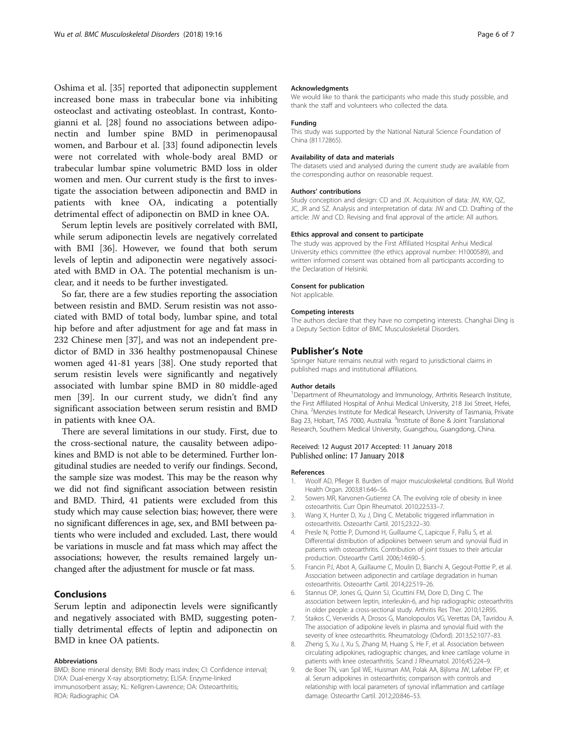<span id="page-5-0"></span>Oshima et al. [\[35\]](#page-6-0) reported that adiponectin supplement increased bone mass in trabecular bone via inhibiting osteoclast and activating osteoblast. In contrast, Kontogianni et al. [[28\]](#page-6-0) found no associations between adiponectin and lumber spine BMD in perimenopausal women, and Barbour et al. [\[33](#page-6-0)] found adiponectin levels were not correlated with whole-body areal BMD or trabecular lumbar spine volumetric BMD loss in older women and men. Our current study is the first to investigate the association between adiponectin and BMD in patients with knee OA, indicating a potentially detrimental effect of adiponectin on BMD in knee OA.

Serum leptin levels are positively correlated with BMI, while serum adiponectin levels are negatively correlated with BMI [\[36](#page-6-0)]. However, we found that both serum levels of leptin and adiponectin were negatively associated with BMD in OA. The potential mechanism is unclear, and it needs to be further investigated.

So far, there are a few studies reporting the association between resistin and BMD. Serum resistin was not associated with BMD of total body, lumbar spine, and total hip before and after adjustment for age and fat mass in 232 Chinese men [[37\]](#page-6-0), and was not an independent predictor of BMD in 336 healthy postmenopausal Chinese women aged 41-81 years [[38\]](#page-6-0). One study reported that serum resistin levels were significantly and negatively associated with lumbar spine BMD in 80 middle-aged men [[39\]](#page-6-0). In our current study, we didn't find any significant association between serum resistin and BMD in patients with knee OA.

There are several limitations in our study. First, due to the cross-sectional nature, the causality between adipokines and BMD is not able to be determined. Further longitudinal studies are needed to verify our findings. Second, the sample size was modest. This may be the reason why we did not find significant association between resistin and BMD. Third, 41 patients were excluded from this study which may cause selection bias; however, there were no significant differences in age, sex, and BMI between patients who were included and excluded. Last, there would be variations in muscle and fat mass which may affect the associations; however, the results remained largely unchanged after the adjustment for muscle or fat mass.

## Conclusions

Serum leptin and adiponectin levels were significantly and negatively associated with BMD, suggesting potentially detrimental effects of leptin and adiponectin on BMD in knee OA patients.

#### Abbreviations

BMD: Bone mineral density; BMI: Body mass index; CI: Confidence interval; DXA: Dual-energy X-ray absorptiometry; ELISA: Enzyme-linked immunosorbent assay; KL: Kellgren-Lawrence; OA: Osteoarthritis; ROA: Radiographic OA

#### Acknowledgments

We would like to thank the participants who made this study possible, and thank the staff and volunteers who collected the data.

#### Funding

This study was supported by the National Natural Science Foundation of China (81172865).

#### Availability of data and materials

The datasets used and analysed during the current study are available from the corresponding author on reasonable request.

#### Authors' contributions

Study conception and design: CD and JX. Acquisition of data: JW, KW, QZ, JC, JR and SZ. Analysis and interpretation of data: JW and CD. Drafting of the article: JW and CD. Revising and final approval of the article: All authors.

#### Ethics approval and consent to participate

The study was approved by the First Affiliated Hospital Anhui Medical University ethics committee (the ethics approval number: H1000589), and written informed consent was obtained from all participants according to the Declaration of Helsinki.

#### Consent for publication

Not applicable.

#### Competing interests

The authors declare that they have no competing interests. Changhai Ding is a Deputy Section Editor of BMC Musculoskeletal Disorders.

#### Publisher's Note

Springer Nature remains neutral with regard to jurisdictional claims in published maps and institutional affiliations.

#### Author details

<sup>1</sup>Department of Rheumatology and Immunology, Arthritis Research Institute the First Affiliated Hospital of Anhui Medical University, 218 Jixi Street, Hefei, China. <sup>2</sup> Menzies Institute for Medical Research, University of Tasmania, Private Bag 23, Hobart, TAS 7000, Australia. <sup>3</sup>Institute of Bone & Joint Translational Research, Southern Medical University, Guangzhou, Guangdong, China.

#### Received: 12 August 2017 Accepted: 11 January 2018 Published online: 17 January 2018

#### References

- 1. Woolf AD, Pfleger B. Burden of major musculoskeletal conditions. Bull World Health Organ. 2003;81:646–56.
- 2. Sowers MR, Karvonen-Gutierrez CA. The evolving role of obesity in knee osteoarthritis. Curr Opin Rheumatol. 2010;22:533–7.
- 3. Wang X, Hunter D, Xu J, Ding C. Metabolic triggered inflammation in osteoarthritis. Osteoarthr Cartil. 2015;23:22–30.
- 4. Presle N, Pottie P, Dumond H, Guillaume C, Lapicque F, Pallu S, et al. Differential distribution of adipokines between serum and synovial fluid in patients with osteoarthritis. Contribution of joint tissues to their articular production. Osteoarthr Cartil. 2006;14:690–5.
- Francin PJ, Abot A, Guillaume C, Moulin D, Bianchi A, Gegout-Pottie P, et al. Association between adiponectin and cartilage degradation in human osteoarthritis. Osteoarthr Cartil. 2014;22:519–26.
- 6. Stannus OP, Jones G, Quinn SJ, Cicuttini FM, Dore D, Ding C. The association between leptin, interleukin-6, and hip radiographic osteoarthritis in older people: a cross-sectional study. Arthritis Res Ther. 2010;12:R95.
- 7. Staikos C, Ververidis A, Drosos G, Manolopoulos VG, Verettas DA, Tavridou A. The association of adipokine levels in plasma and synovial fluid with the severity of knee osteoarthritis. Rheumatology (Oxford). 2013;52:1077–83.
- 8. Zheng S, Xu J, Xu S, Zhang M, Huang S, He F, et al. Association between circulating adipokines, radiographic changes, and knee cartilage volume in patients with knee osteoarthritis. Scand J Rheumatol. 2016;45:224–9.
- 9. de Boer TN, van Spil WE, Huisman AM, Polak AA, Bijlsma JW, Lafeber FP, et al. Serum adipokines in osteoarthritis; comparison with controls and relationship with local parameters of synovial inflammation and cartilage damage. Osteoarthr Cartil. 2012;20:846–53.